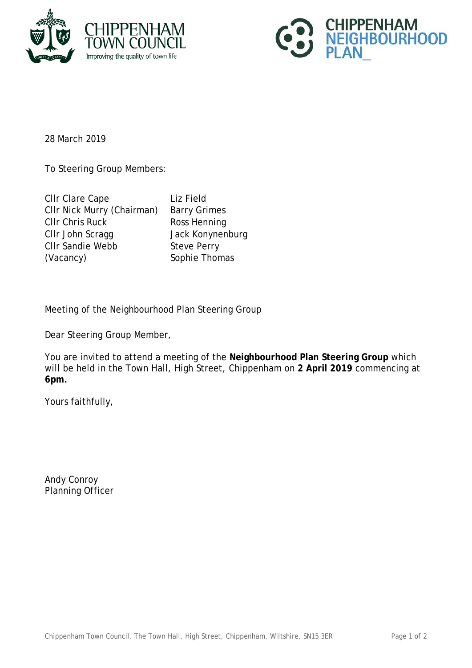



28 March 2019

To Steering Group Members:

| <b>CIIr Clare Cape</b>     |
|----------------------------|
| CIIr Nick Murry (Chairman) |
| <b>CIIr Chris Ruck</b>     |
| CIIr John Scragg           |
| <b>CIIr Sandie Webb</b>    |
| (Vacancy)                  |

Liz Field Barry Grimes Ross Henning Jack Konynenburg Steve Perry Sophie Thomas

Meeting of the Neighbourhood Plan Steering Group

Dear Steering Group Member,

You are invited to attend a meeting of the **Neighbourhood Plan Steering Group** which will be held in the Town Hall, High Street, Chippenham on **2 April 2019** commencing at **6pm.**

Yours faithfully,

Andy Conroy Planning Officer